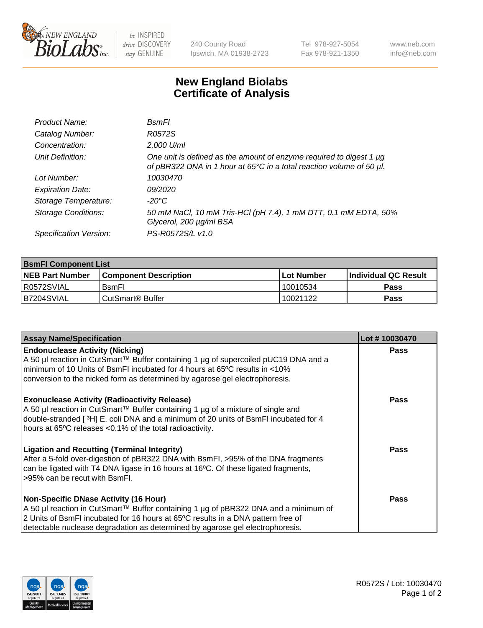

 $be$  INSPIRED drive DISCOVERY stay GENUINE

240 County Road Ipswich, MA 01938-2723 Tel 978-927-5054 Fax 978-921-1350 www.neb.com info@neb.com

## **New England Biolabs Certificate of Analysis**

| Product Name:              | <b>B</b> smFl                                                                                                                               |
|----------------------------|---------------------------------------------------------------------------------------------------------------------------------------------|
| Catalog Number:            | R0572S                                                                                                                                      |
| Concentration:             | 2,000 U/ml                                                                                                                                  |
| Unit Definition:           | One unit is defined as the amount of enzyme required to digest 1 µg<br>of pBR322 DNA in 1 hour at 65°C in a total reaction volume of 50 µl. |
| Lot Number:                | 10030470                                                                                                                                    |
| <b>Expiration Date:</b>    | 09/2020                                                                                                                                     |
| Storage Temperature:       | -20°C                                                                                                                                       |
| <b>Storage Conditions:</b> | 50 mM NaCl, 10 mM Tris-HCl (pH 7.4), 1 mM DTT, 0.1 mM EDTA, 50%<br>Glycerol, 200 µg/ml BSA                                                  |
| Specification Version:     | PS-R0572S/L v1.0                                                                                                                            |

| <b>BsmFI Component List</b> |                         |              |                             |  |
|-----------------------------|-------------------------|--------------|-----------------------------|--|
| <b>NEB Part Number</b>      | l Component Description | l Lot Number | <b>Individual QC Result</b> |  |
| I R0572SVIAL                | <b>B</b> smFI           | 10010534     | <b>Pass</b>                 |  |
| B7204SVIAL                  | l CutSmart® Buffer      | 10021122     | Pass                        |  |

| <b>Assay Name/Specification</b>                                                                                                                                                                                                                                                                          | Lot #10030470 |
|----------------------------------------------------------------------------------------------------------------------------------------------------------------------------------------------------------------------------------------------------------------------------------------------------------|---------------|
| <b>Endonuclease Activity (Nicking)</b><br>A 50 µl reaction in CutSmart™ Buffer containing 1 µg of supercoiled pUC19 DNA and a<br>minimum of 10 Units of BsmFI incubated for 4 hours at 65°C results in <10%<br>conversion to the nicked form as determined by agarose gel electrophoresis.               | <b>Pass</b>   |
| <b>Exonuclease Activity (Radioactivity Release)</b><br>A 50 µl reaction in CutSmart™ Buffer containing 1 µg of a mixture of single and<br>double-stranded [3H] E. coli DNA and a minimum of 20 units of BsmFI incubated for 4<br>hours at 65°C releases <0.1% of the total radioactivity.                | Pass          |
| <b>Ligation and Recutting (Terminal Integrity)</b><br>After a 5-fold over-digestion of pBR322 DNA with BsmFI, >95% of the DNA fragments<br>can be ligated with T4 DNA ligase in 16 hours at 16°C. Of these ligated fragments,<br>>95% can be recut with BsmFI.                                           | Pass          |
| <b>Non-Specific DNase Activity (16 Hour)</b><br>A 50 µl reaction in CutSmart™ Buffer containing 1 µg of pBR322 DNA and a minimum of<br>2 Units of BsmFI incubated for 16 hours at 65°C results in a DNA pattern free of<br>detectable nuclease degradation as determined by agarose gel electrophoresis. | Pass          |